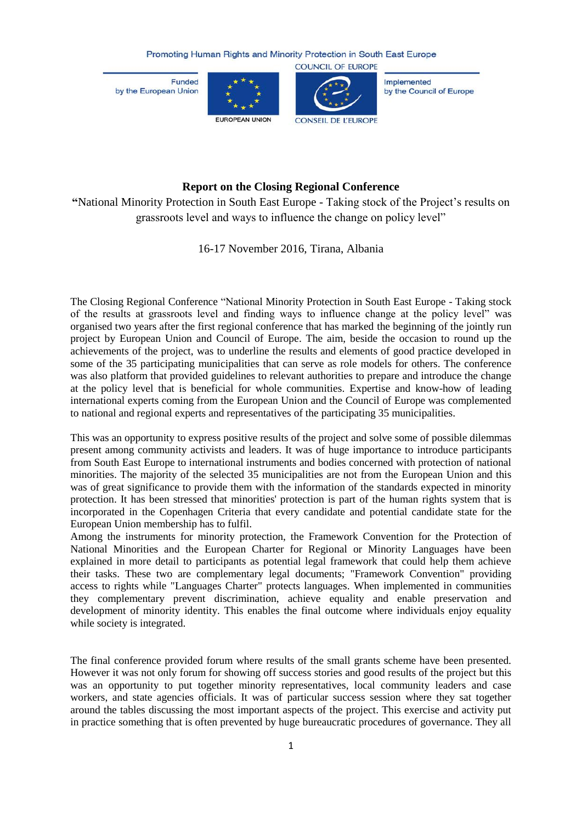Funded by the European Union





Implemented by the Council of Europe

## **Report on the Closing Regional Conference**

**"**National Minority Protection in South East Europe - Taking stock of the Project's results on grassroots level and ways to influence the change on policy level"

16-17 November 2016, Tirana, Albania

The Closing Regional Conference "National Minority Protection in South East Europe - Taking stock of the results at grassroots level and finding ways to influence change at the policy level" was organised two years after the first regional conference that has marked the beginning of the jointly run project by European Union and Council of Europe. The aim, beside the occasion to round up the achievements of the project, was to underline the results and elements of good practice developed in some of the 35 participating municipalities that can serve as role models for others. The conference was also platform that provided guidelines to relevant authorities to prepare and introduce the change at the policy level that is beneficial for whole communities. Expertise and know-how of leading international experts coming from the European Union and the Council of Europe was complemented to national and regional experts and representatives of the participating 35 municipalities.

This was an opportunity to express positive results of the project and solve some of possible dilemmas present among community activists and leaders. It was of huge importance to introduce participants from South East Europe to international instruments and bodies concerned with protection of national minorities. The majority of the selected 35 municipalities are not from the European Union and this was of great significance to provide them with the information of the standards expected in minority protection. It has been stressed that minorities' protection is part of the human rights system that is incorporated in the Copenhagen Criteria that every candidate and potential candidate state for the European Union membership has to fulfil.

Among the instruments for minority protection, the Framework Convention for the Protection of National Minorities and the European Charter for Regional or Minority Languages have been explained in more detail to participants as potential legal framework that could help them achieve their tasks. These two are complementary legal documents; "Framework Convention" providing access to rights while "Languages Charter" protects languages. When implemented in communities they complementary prevent discrimination, achieve equality and enable preservation and development of minority identity. This enables the final outcome where individuals enjoy equality while society is integrated.

The final conference provided forum where results of the small grants scheme have been presented. However it was not only forum for showing off success stories and good results of the project but this was an opportunity to put together minority representatives, local community leaders and case workers, and state agencies officials. It was of particular success session where they sat together around the tables discussing the most important aspects of the project. This exercise and activity put in practice something that is often prevented by huge bureaucratic procedures of governance. They all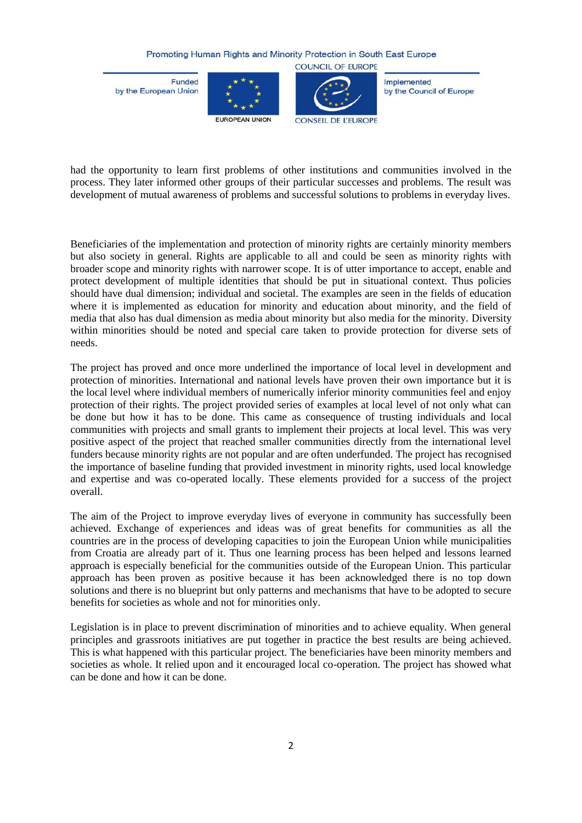**Funded** by the European Union





**COUNCIL OF EUROPE** 

Implemented by the Council of Europe

had the opportunity to learn first problems of other institutions and communities involved in the process. They later informed other groups of their particular successes and problems. The result was development of mutual awareness of problems and successful solutions to problems in everyday lives.

Beneficiaries of the implementation and protection of minority rights are certainly minority members but also society in general. Rights are applicable to all and could be seen as minority rights with broader scope and minority rights with narrower scope. It is of utter importance to accept, enable and protect development of multiple identities that should be put in situational context. Thus policies should have dual dimension; individual and societal. The examples are seen in the fields of education where it is implemented as education for minority and education about minority, and the field of media that also has dual dimension as media about minority but also media for the minority. Diversity within minorities should be noted and special care taken to provide protection for diverse sets of needs.

The project has proved and once more underlined the importance of local level in development and protection of minorities. International and national levels have proven their own importance but it is the local level where individual members of numerically inferior minority communities feel and enjoy protection of their rights. The project provided series of examples at local level of not only what can be done but how it has to be done. This came as consequence of trusting individuals and local communities with projects and small grants to implement their projects at local level. This was very positive aspect of the project that reached smaller communities directly from the international level funders because minority rights are not popular and are often underfunded. The project has recognised the importance of baseline funding that provided investment in minority rights, used local knowledge and expertise and was co-operated locally. These elements provided for a success of the project overall.

The aim of the Project to improve everyday lives of everyone in community has successfully been achieved. Exchange of experiences and ideas was of great benefits for communities as all the countries are in the process of developing capacities to join the European Union while municipalities from Croatia are already part of it. Thus one learning process has been helped and lessons learned approach is especially beneficial for the communities outside of the European Union. This particular approach has been proven as positive because it has been acknowledged there is no top down solutions and there is no blueprint but only patterns and mechanisms that have to be adopted to secure benefits for societies as whole and not for minorities only.

Legislation is in place to prevent discrimination of minorities and to achieve equality. When general principles and grassroots initiatives are put together in practice the best results are being achieved. This is what happened with this particular project. The beneficiaries have been minority members and societies as whole. It relied upon and it encouraged local co-operation. The project has showed what can be done and how it can be done.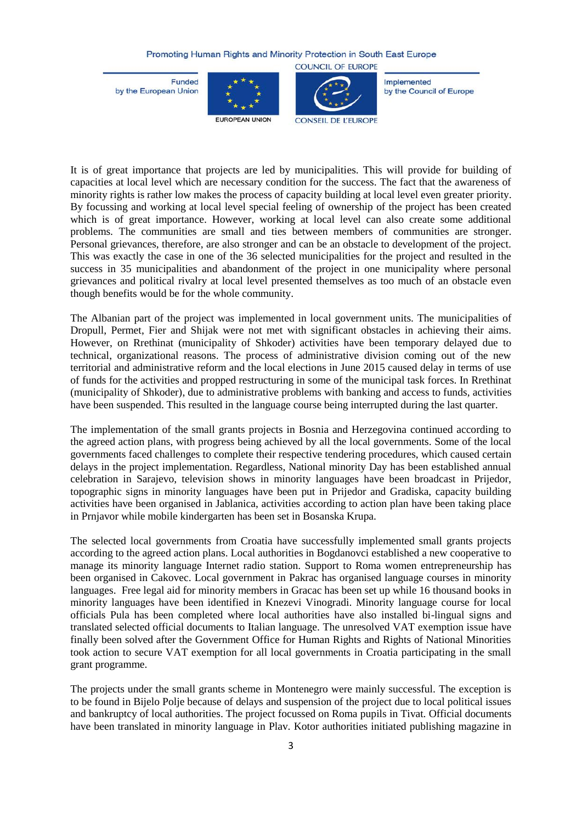**Funded** by the European Union





Implemented by the Council of Europe

It is of great importance that projects are led by municipalities. This will provide for building of capacities at local level which are necessary condition for the success. The fact that the awareness of minority rights is rather low makes the process of capacity building at local level even greater priority. By focussing and working at local level special feeling of ownership of the project has been created which is of great importance. However, working at local level can also create some additional problems. The communities are small and ties between members of communities are stronger. Personal grievances, therefore, are also stronger and can be an obstacle to development of the project. This was exactly the case in one of the 36 selected municipalities for the project and resulted in the success in 35 municipalities and abandonment of the project in one municipality where personal grievances and political rivalry at local level presented themselves as too much of an obstacle even though benefits would be for the whole community.

The Albanian part of the project was implemented in local government units. The municipalities of Dropull, Permet, Fier and Shijak were not met with significant obstacles in achieving their aims. However, on Rrethinat (municipality of Shkoder) activities have been temporary delayed due to technical, organizational reasons. The process of administrative division coming out of the new territorial and administrative reform and the local elections in June 2015 caused delay in terms of use of funds for the activities and propped restructuring in some of the municipal task forces. In Rrethinat (municipality of Shkoder), due to administrative problems with banking and access to funds, activities have been suspended. This resulted in the language course being interrupted during the last quarter.

The implementation of the small grants projects in Bosnia and Herzegovina continued according to the agreed action plans, with progress being achieved by all the local governments. Some of the local governments faced challenges to complete their respective tendering procedures, which caused certain delays in the project implementation. Regardless, National minority Day has been established annual celebration in Sarajevo, television shows in minority languages have been broadcast in Prijedor, topographic signs in minority languages have been put in Prijedor and Gradiska, capacity building activities have been organised in Jablanica, activities according to action plan have been taking place in Prnjavor while mobile kindergarten has been set in Bosanska Krupa.

The selected local governments from Croatia have successfully implemented small grants projects according to the agreed action plans. Local authorities in Bogdanovci established a new cooperative to manage its minority language Internet radio station. Support to Roma women entrepreneurship has been organised in Cakovec. Local government in Pakrac has organised language courses in minority languages. Free legal aid for minority members in Gracac has been set up while 16 thousand books in minority languages have been identified in Knezevi Vinogradi. Minority language course for local officials Pula has been completed where local authorities have also installed bi-lingual signs and translated selected official documents to Italian language. The unresolved VAT exemption issue have finally been solved after the Government Office for Human Rights and Rights of National Minorities took action to secure VAT exemption for all local governments in Croatia participating in the small grant programme.

The projects under the small grants scheme in Montenegro were mainly successful. The exception is to be found in Bijelo Polje because of delays and suspension of the project due to local political issues and bankruptcy of local authorities. The project focussed on Roma pupils in Tivat. Official documents have been translated in minority language in Plav. Kotor authorities initiated publishing magazine in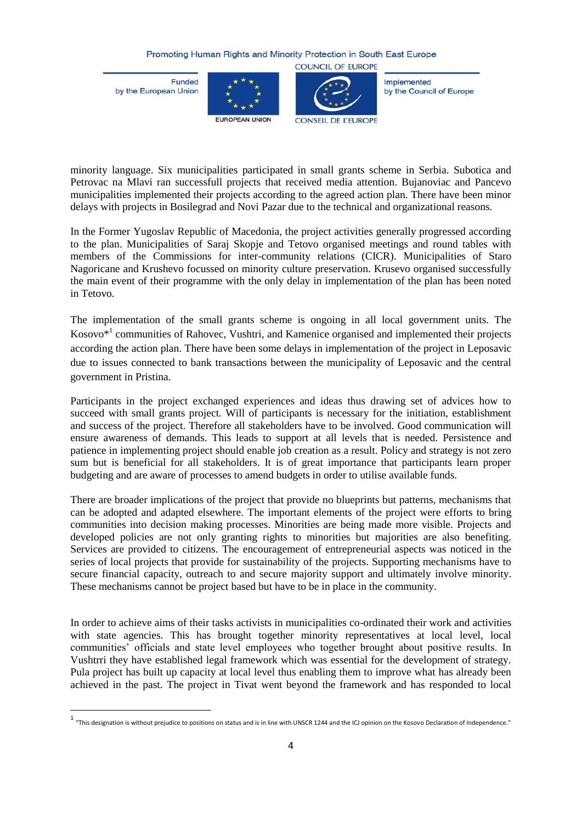**Funded** by the European Union

 $\overline{\phantom{a}}$ 





**COUNCIL OF EUROPE** 

Implemented by the Council of Europe

minority language. Six municipalities participated in small grants scheme in Serbia. Subotica and Petrovac na Mlavi ran successfull projects that received media attention. Bujanoviac and Pancevo municipalities implemented their projects according to the agreed action plan. There have been minor delays with projects in Bosilegrad and Novi Pazar due to the technical and organizational reasons.

In the Former Yugoslav Republic of Macedonia, the project activities generally progressed according to the plan. Municipalities of Saraj Skopje and Tetovo organised meetings and round tables with members of the Commissions for inter-community relations (CICR). Municipalities of Staro Nagoricane and Krushevo focussed on minority culture preservation. Krusevo organised successfully the main event of their programme with the only delay in implementation of the plan has been noted in Tetovo.

The implementation of the small grants scheme is ongoing in all local government units. The Kosovo<sup>\*1</sup> communities of Rahovec, Vushtri, and Kamenice organised and implemented their projects according the action plan. There have been some delays in implementation of the project in Leposavic due to issues connected to bank transactions between the municipality of Leposavic and the central government in Pristina.

Participants in the project exchanged experiences and ideas thus drawing set of advices how to succeed with small grants project. Will of participants is necessary for the initiation, establishment and success of the project. Therefore all stakeholders have to be involved. Good communication will ensure awareness of demands. This leads to support at all levels that is needed. Persistence and patience in implementing project should enable job creation as a result. Policy and strategy is not zero sum but is beneficial for all stakeholders. It is of great importance that participants learn proper budgeting and are aware of processes to amend budgets in order to utilise available funds.

There are broader implications of the project that provide no blueprints but patterns, mechanisms that can be adopted and adapted elsewhere. The important elements of the project were efforts to bring communities into decision making processes. Minorities are being made more visible. Projects and developed policies are not only granting rights to minorities but majorities are also benefiting. Services are provided to citizens. The encouragement of entrepreneurial aspects was noticed in the series of local projects that provide for sustainability of the projects. Supporting mechanisms have to secure financial capacity, outreach to and secure majority support and ultimately involve minority. These mechanisms cannot be project based but have to be in place in the community.

In order to achieve aims of their tasks activists in municipalities co-ordinated their work and activities with state agencies. This has brought together minority representatives at local level, local communities' officials and state level employees who together brought about positive results. In Vushtrri they have established legal framework which was essential for the development of strategy. Pula project has built up capacity at local level thus enabling them to improve what has already been achieved in the past. The project in Tivat went beyond the framework and has responded to local

<sup>1 &</sup>quot;This designation is without prejudice to positions on status and is in line with UNSCR 1244 and the ICJ opinion on the Kosovo Declaration of Independence."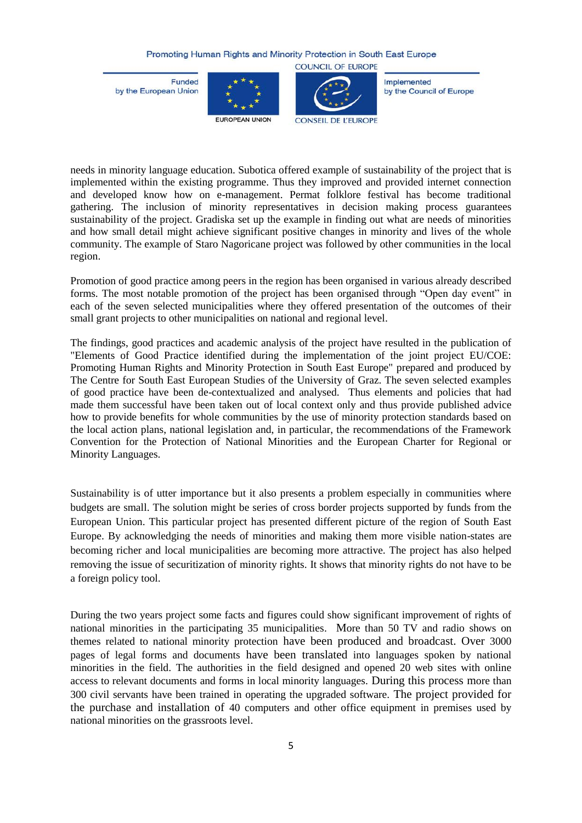Funded by the European Union





**COUNCIL OF EUROPE** 

Implemented by the Council of Europe

needs in minority language education. Subotica offered example of sustainability of the project that is implemented within the existing programme. Thus they improved and provided internet connection and developed know how on e-management. Permat folklore festival has become traditional gathering. The inclusion of minority representatives in decision making process guarantees sustainability of the project. Gradiska set up the example in finding out what are needs of minorities and how small detail might achieve significant positive changes in minority and lives of the whole community. The example of Staro Nagoricane project was followed by other communities in the local region.

Promotion of good practice among peers in the region has been organised in various already described forms. The most notable promotion of the project has been organised through "Open day event" in each of the seven selected municipalities where they offered presentation of the outcomes of their small grant projects to other municipalities on national and regional level.

The findings, good practices and academic analysis of the project have resulted in the publication of "Elements of Good Practice identified during the implementation of the joint project EU/COE: Promoting Human Rights and Minority Protection in South East Europe" prepared and produced by The Centre for South East European Studies of the University of Graz. The seven selected examples of good practice have been de-contextualized and analysed. Thus elements and policies that had made them successful have been taken out of local context only and thus provide published advice how to provide benefits for whole communities by the use of minority protection standards based on the local action plans, national legislation and, in particular, the recommendations of the Framework Convention for the Protection of National Minorities and the European Charter for Regional or Minority Languages.

Sustainability is of utter importance but it also presents a problem especially in communities where budgets are small. The solution might be series of cross border projects supported by funds from the European Union. This particular project has presented different picture of the region of South East Europe. By acknowledging the needs of minorities and making them more visible nation-states are becoming richer and local municipalities are becoming more attractive. The project has also helped removing the issue of securitization of minority rights. It shows that minority rights do not have to be a foreign policy tool.

During the two years project some facts and figures could show significant improvement of rights of national minorities in the participating 35 municipalities. More than 50 TV and radio shows on themes related to national minority protection have been produced and broadcast. Over 3000 pages of legal forms and documents have been translated into languages spoken by national minorities in the field. The authorities in the field designed and opened 20 web sites with online access to relevant documents and forms in local minority languages. During this process more than 300 civil servants have been trained in operating the upgraded software. The project provided for the purchase and installation of 40 computers and other office equipment in premises used by national minorities on the grassroots level.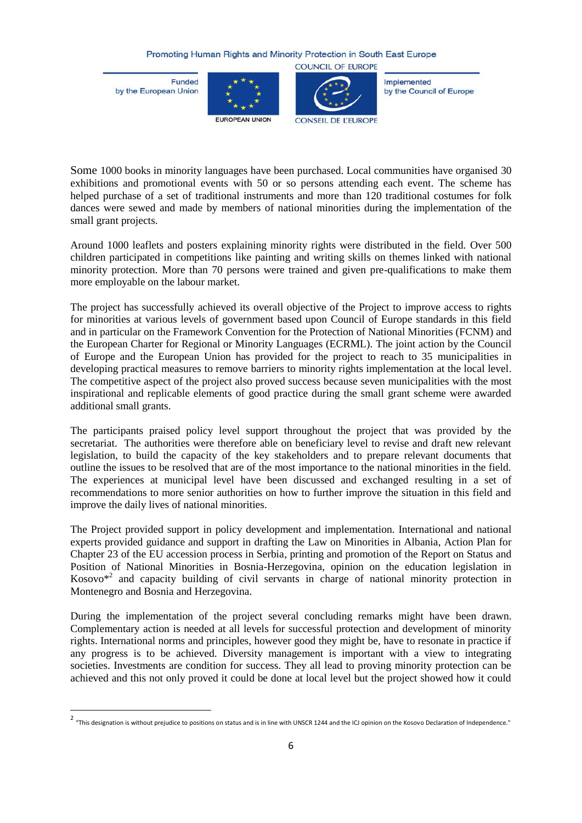**Funded** by the European Union

 $\overline{\phantom{a}}$ 





Implemented by the Council of Europe

Some 1000 books in minority languages have been purchased. Local communities have organised 30 exhibitions and promotional events with 50 or so persons attending each event. The scheme has helped purchase of a set of traditional instruments and more than 120 traditional costumes for folk dances were sewed and made by members of national minorities during the implementation of the small grant projects.

Around 1000 leaflets and posters explaining minority rights were distributed in the field. Over 500 children participated in competitions like painting and writing skills on themes linked with national minority protection. More than 70 persons were trained and given pre-qualifications to make them more employable on the labour market.

The project has successfully achieved its overall objective of the Project to improve access to rights for minorities at various levels of government based upon Council of Europe standards in this field and in particular on the Framework Convention for the Protection of National Minorities (FCNM) and the European Charter for Regional or Minority Languages (ECRML). The joint action by the Council of Europe and the European Union has provided for the project to reach to 35 municipalities in developing practical measures to remove barriers to minority rights implementation at the local level. The competitive aspect of the project also proved success because seven municipalities with the most inspirational and replicable elements of good practice during the small grant scheme were awarded additional small grants.

The participants praised policy level support throughout the project that was provided by the secretariat. The authorities were therefore able on beneficiary level to revise and draft new relevant legislation, to build the capacity of the key stakeholders and to prepare relevant documents that outline the issues to be resolved that are of the most importance to the national minorities in the field. The experiences at municipal level have been discussed and exchanged resulting in a set of recommendations to more senior authorities on how to further improve the situation in this field and improve the daily lives of national minorities.

The Project provided support in policy development and implementation. International and national experts provided guidance and support in drafting the Law on Minorities in Albania, Action Plan for Chapter 23 of the EU accession process in Serbia, printing and promotion of the Report on Status and Position of National Minorities in Bosnia-Herzegovina, opinion on the education legislation in Kosovo\*<sup>2</sup> and capacity building of civil servants in charge of national minority protection in Montenegro and Bosnia and Herzegovina.

During the implementation of the project several concluding remarks might have been drawn. Complementary action is needed at all levels for successful protection and development of minority rights. International norms and principles, however good they might be, have to resonate in practice if any progress is to be achieved. Diversity management is important with a view to integrating societies. Investments are condition for success. They all lead to proving minority protection can be achieved and this not only proved it could be done at local level but the project showed how it could

<sup>&</sup>lt;sup>2</sup> "This designation is without prejudice to positions on status and is in line with UNSCR 1244 and the ICJ opinion on the Kosovo Declaration of Independence."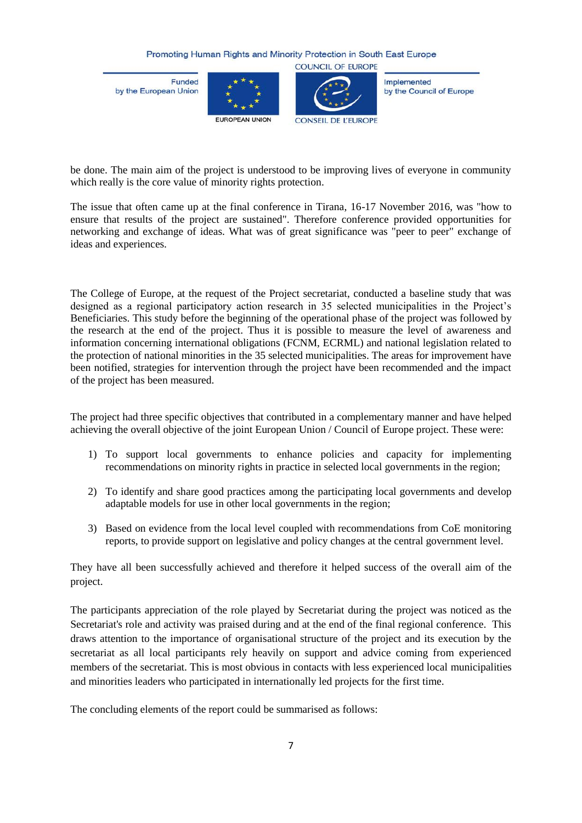Funded by the European Union





Implemented by the Council of Europe

be done. The main aim of the project is understood to be improving lives of everyone in community which really is the core value of minority rights protection.

The issue that often came up at the final conference in Tirana, 16-17 November 2016, was "how to ensure that results of the project are sustained". Therefore conference provided opportunities for networking and exchange of ideas. What was of great significance was "peer to peer" exchange of ideas and experiences.

The College of Europe, at the request of the Project secretariat, conducted a baseline study that was designed as a regional participatory action research in 35 selected municipalities in the Project's Beneficiaries. This study before the beginning of the operational phase of the project was followed by the research at the end of the project. Thus it is possible to measure the level of awareness and information concerning international obligations (FCNM, ECRML) and national legislation related to the protection of national minorities in the 35 selected municipalities. The areas for improvement have been notified, strategies for intervention through the project have been recommended and the impact of the project has been measured.

The project had three specific objectives that contributed in a complementary manner and have helped achieving the overall objective of the joint European Union / Council of Europe project. These were:

- 1) To support local governments to enhance policies and capacity for implementing recommendations on minority rights in practice in selected local governments in the region;
- 2) To identify and share good practices among the participating local governments and develop adaptable models for use in other local governments in the region;
- 3) Based on evidence from the local level coupled with recommendations from CoE monitoring reports, to provide support on legislative and policy changes at the central government level.

They have all been successfully achieved and therefore it helped success of the overall aim of the project.

The participants appreciation of the role played by Secretariat during the project was noticed as the Secretariat's role and activity was praised during and at the end of the final regional conference. This draws attention to the importance of organisational structure of the project and its execution by the secretariat as all local participants rely heavily on support and advice coming from experienced members of the secretariat. This is most obvious in contacts with less experienced local municipalities and minorities leaders who participated in internationally led projects for the first time.

The concluding elements of the report could be summarised as follows: